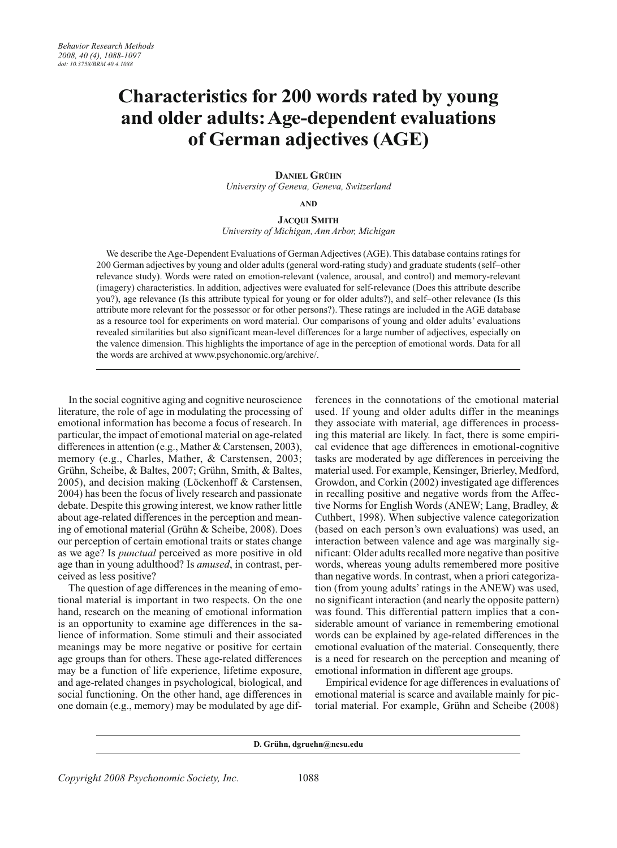# **Characteristics for 200 words rated by young and older adults: Age-dependent evaluations of German adjectives (AGE)**

**DANIEL GRÜHN**

*University of Geneva, Geneva, Switzerland*

**AND**

**JACQUI SMITH**

*University of Michigan, Ann Arbor, Michigan*

We describe the Age-Dependent Evaluations of German Adjectives (AGE). This database contains ratings for 200 German adjectives by young and older adults (general word-rating study) and graduate students (self–other relevance study). Words were rated on emotion-relevant (valence, arousal, and control) and memory-relevant (imagery) characteristics. In addition, adjectives were evaluated for self-relevance (Does this attribute describe you?), age relevance (Is this attribute typical for young or for older adults?), and self–other relevance (Is this attribute more relevant for the possessor or for other persons?). These ratings are included in the AGE database as a resource tool for experiments on word material. Our comparisons of young and older adults' evaluations revealed similarities but also significant mean-level differences for a large number of adjectives, especially on the valence dimension. This highlights the importance of age in the perception of emotional words. Data for all the words are archived at www.psychonomic.org/archive/.

In the social cognitive aging and cognitive neuroscience literature, the role of age in modulating the processing of emotional information has become a focus of research. In particular, the impact of emotional material on age-related differences in attention (e.g., Mather & Carstensen, 2003), memory (e.g., Charles, Mather, & Carstensen, 2003; Grühn, Scheibe, & Baltes, 2007; Grühn, Smith, & Baltes, 2005), and decision making (Löckenhoff & Carstensen, 2004) has been the focus of lively research and passionate debate. Despite this growing interest, we know rather little about age-related differences in the perception and meaning of emotional material (Grühn & Scheibe, 2008). Does our perception of certain emotional traits or states change as we age? Is *punctual* perceived as more positive in old age than in young adulthood? Is *amused*, in contrast, perceived as less positive?

The question of age differences in the meaning of emotional material is important in two respects. On the one hand, research on the meaning of emotional information is an opportunity to examine age differences in the salience of information. Some stimuli and their associated meanings may be more negative or positive for certain age groups than for others. These age-related differences may be a function of life experience, lifetime exposure, and age-related changes in psychological, biological, and social functioning. On the other hand, age differences in one domain (e.g., memory) may be modulated by age differences in the connotations of the emotional material used. If young and older adults differ in the meanings they associate with material, age differences in processing this material are likely. In fact, there is some empirical evidence that age differences in emotional-cognitive tasks are moderated by age differences in perceiving the material used. For example, Kensinger, Brierley, Medford, Growdon, and Corkin (2002) investigated age differences in recalling positive and negative words from the Affective Norms for English Words (ANEW; Lang, Bradley, & Cuthbert, 1998). When subjective valence categorization (based on each person's own evaluations) was used, an interaction between valence and age was marginally significant: Older adults recalled more negative than positive words, whereas young adults remembered more positive than negative words. In contrast, when a priori categorization (from young adults' ratings in the ANEW) was used, no significant interaction (and nearly the opposite pattern) was found. This differential pattern implies that a considerable amount of variance in remembering emotional words can be explained by age-related differences in the emotional evaluation of the material. Consequently, there is a need for research on the perception and meaning of emotional information in different age groups.

Empirical evidence for age differences in evaluations of emotional material is scarce and available mainly for pictorial material. For example, Grühn and Scheibe (2008)

**D. Grühn, dgruehn@ncsu.edu**

*Copyright 2008 Psychonomic Society, Inc.* 1088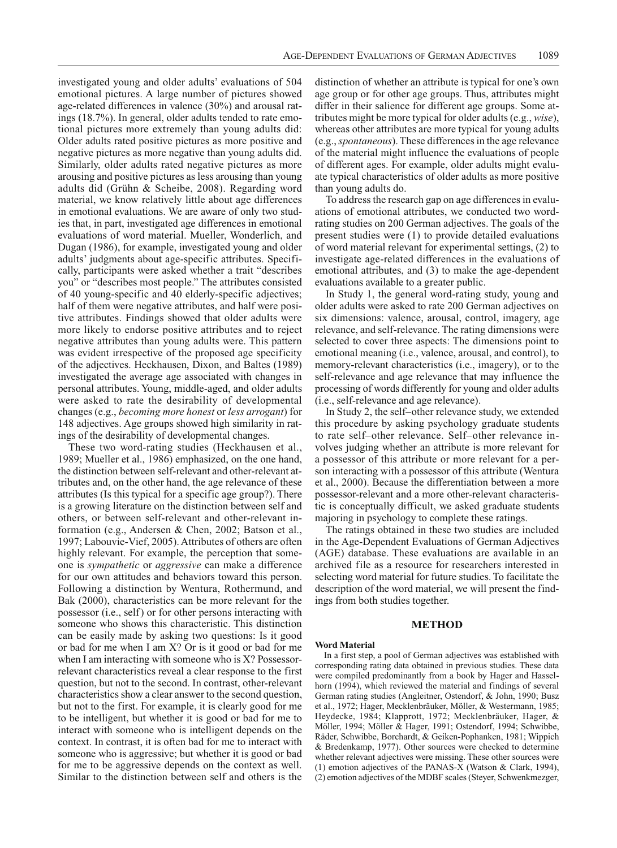investigated young and older adults' evaluations of 504 emotional pictures. A large number of pictures showed age-related differences in valence (30%) and arousal ratings (18.7%). In general, older adults tended to rate emotional pictures more extremely than young adults did: Older adults rated positive pictures as more positive and negative pictures as more negative than young adults did. Similarly, older adults rated negative pictures as more arousing and positive pictures as less arousing than young adults did (Grühn & Scheibe, 2008). Regarding word material, we know relatively little about age differences in emotional evaluations. We are aware of only two studies that, in part, investigated age differences in emotional evaluations of word material. Mueller, Wonderlich, and Dugan (1986), for example, investigated young and older adults' judgments about age-specific attributes. Specifically, participants were asked whether a trait "describes you" or "describes most people." The attributes consisted of 40 young-specific and 40 elderly-specific adjectives; half of them were negative attributes, and half were positive attributes. Findings showed that older adults were more likely to endorse positive attributes and to reject negative attributes than young adults were. This pattern was evident irrespective of the proposed age specificity of the adjectives. Heckhausen, Dixon, and Baltes (1989) investigated the average age associated with changes in personal attributes. Young, middle-aged, and older adults were asked to rate the desirability of developmental changes (e.g., *becoming more honest* or *less arrogant*) for 148 adjectives. Age groups showed high similarity in ratings of the desirability of developmental changes.

These two word-rating studies (Heckhausen et al., 1989; Mueller et al., 1986) emphasized, on the one hand, the distinction between self-relevant and other-relevant attributes and, on the other hand, the age relevance of these attributes (Is this typical for a specific age group?). There is a growing literature on the distinction between self and others, or between self-relevant and other-relevant information (e.g., Andersen & Chen, 2002; Batson et al., 1997; Labouvie-Vief, 2005). Attributes of others are often highly relevant. For example, the perception that someone is *sympathetic* or *aggressive* can make a difference for our own attitudes and behaviors toward this person. Following a distinction by Wentura, Rothermund, and Bak (2000), characteristics can be more relevant for the possessor (i.e., self) or for other persons interacting with someone who shows this characteristic. This distinction can be easily made by asking two questions: Is it good or bad for me when I am X? Or is it good or bad for me when I am interacting with someone who is X? Possessorrelevant characteristics reveal a clear response to the first question, but not to the second. In contrast, other-relevant characteristics show a clear answer to the second question, but not to the first. For example, it is clearly good for me to be intelligent, but whether it is good or bad for me to interact with someone who is intelligent depends on the context. In contrast, it is often bad for me to interact with someone who is aggressive; but whether it is good or bad for me to be aggressive depends on the context as well. Similar to the distinction between self and others is the

distinction of whether an attribute is typical for one's own age group or for other age groups. Thus, attributes might differ in their salience for different age groups. Some attributes might be more typical for older adults (e.g., *wise*), whereas other attributes are more typical for young adults (e.g., *spontaneous*). These differences in the age relevance of the material might influence the evaluations of people of different ages. For example, older adults might evaluate typical characteristics of older adults as more positive than young adults do.

To address the research gap on age differences in evaluations of emotional attributes, we conducted two wordrating studies on 200 German adjectives. The goals of the present studies were (1) to provide detailed evaluations of word material relevant for experimental settings, (2) to investigate age-related differences in the evaluations of emotional attributes, and (3) to make the age-dependent evaluations available to a greater public.

In Study 1, the general word-rating study, young and older adults were asked to rate 200 German adjectives on six dimensions: valence, arousal, control, imagery, age relevance, and self-relevance. The rating dimensions were selected to cover three aspects: The dimensions point to emotional meaning (i.e., valence, arousal, and control), to memory-relevant characteristics (i.e., imagery), or to the self-relevance and age relevance that may influence the processing of words differently for young and older adults (i.e., self-relevance and age relevance).

In Study 2, the self–other relevance study, we extended this procedure by asking psychology graduate students to rate self–other relevance. Self–other relevance involves judging whether an attribute is more relevant for a possessor of this attribute or more relevant for a person interacting with a possessor of this attribute (Wentura et al., 2000). Because the differentiation between a more possessor- relevant and a more other-relevant characteristic is conceptually difficult, we asked graduate students majoring in psychology to complete these ratings.

The ratings obtained in these two studies are included in the Age-Dependent Evaluations of German Adjectives (AGE) database. These evaluations are available in an archived file as a resource for researchers interested in selecting word material for future studies. To facilitate the description of the word material, we will present the findings from both studies together.

# **METHOD**

# **Word Material**

In a first step, a pool of German adjectives was established with corresponding rating data obtained in previous studies. These data were compiled predominantly from a book by Hager and Hasselhorn (1994), which reviewed the material and findings of several German rating studies (Angleitner, Ostendorf, & John, 1990; Busz et al., 1972; Hager, Mecklenbräuker, Möller, & Westermann, 1985; Heydecke, 1984; Klapprott, 1972; Mecklenbräuker, Hager, & Möller, 1994; Möller & Hager, 1991; Ostendorf, 1994; Schwibbe, Räder, Schwibbe, Borchardt, & Geiken-Pophanken, 1981; Wippich & Bredenkamp, 1977). Other sources were checked to determine whether relevant adjectives were missing. These other sources were (1) emotion adjectives of the PANAS-X (Watson & Clark, 1994), (2) emotion adjectives of the MDBF scales (Steyer, Schwenkmezger,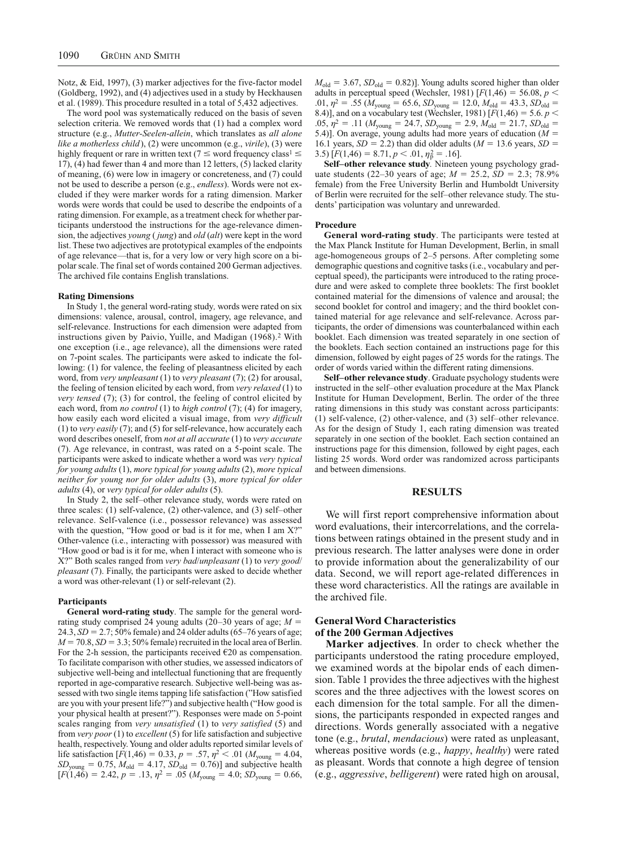Notz, & Eid, 1997), (3) marker adjectives for the five-factor model (Goldberg, 1992), and (4) adjectives used in a study by Heckhausen et al. (1989). This procedure resulted in a total of 5,432 adjectives.

The word pool was systematically reduced on the basis of seven selection criteria. We removed words that (1) had a complex word structure (e.g., *Mutter-Seelen-allein*, which translates as *all alone like a motherless child*), (2) were uncommon (e.g., *virile*), (3) were highly frequent or rare in written text ( $7 \leq$  word frequency class<sup>1</sup>  $\leq$ 17), (4) had fewer than 4 and more than 12 letters, (5) lacked clarity of meaning, (6) were low in imagery or concreteness, and (7) could not be used to describe a person (e.g., *endless*). Words were not excluded if they were marker words for a rating dimension. Marker words were words that could be used to describe the endpoints of a rating dimension. For example, as a treatment check for whether participants understood the instructions for the age-relevance dimension, the adjectives *young* ( *jung*) and *old* (*alt*) were kept in the word list. These two adjectives are prototypical examples of the endpoints of age relevance—that is, for a very low or very high score on a bipolar scale. The final set of words contained 200 German adjectives. The archived file contains English translations.

#### **Rating Dimensions**

In Study 1, the general word-rating study*,* words were rated on six dimensions: valence, arousal, control, imagery, age relevance, and self-relevance. Instructions for each dimension were adapted from instructions given by Paivio, Yuille, and Madigan (1968).2 With one exception (i.e., age relevance), all the dimensions were rated on 7-point scales. The participants were asked to indicate the following: (1) for valence, the feeling of pleasantness elicited by each word, from *very unpleasant* (1) to *very pleasant* (7); (2) for arousal, the feeling of tension elicited by each word, from *very relaxed* (1) to *very tensed* (7); (3) for control, the feeling of control elicited by each word, from *no control* (1) to *high control* (7); (4) for imagery, how easily each word elicited a visual image, from *very difficult* (1) to *very easily* (7); and (5) for self-relevance, how accurately each word describes oneself, from *not at all accurate* (1) to *very accurate* (7). Age relevance, in contrast, was rated on a 5-point scale. The participants were asked to indicate whether a word was *very typical for young adults* (1), *more typical for young adults* (2), *more typical neither for young nor for older adults* (3), *more typical for older adults* (4), or *very typical for older adults* (5).

In Study 2, the self–other relevance study, words were rated on three scales: (1) self-valence, (2) other-valence, and (3) self–other relevance. Self-valence (i.e., possessor relevance) was assessed with the question, "How good or bad is it for me, when I am X?" Other-valence (i.e., interacting with possessor) was measured with "How good or bad is it for me, when I interact with someone who is X?" Both scales ranged from *very bad*/*unpleasant* (1) to *very good*/ *pleasant* (7). Finally, the participants were asked to decide whether a word was other-relevant (1) or self-relevant (2).

## **Participants**

**General word-rating study**. The sample for the general wordrating study comprised 24 young adults (20–30 years of age; *M*  $24.3, SD = 2.7$ ;  $50\%$  female) and 24 older adults (65–76 years of age;  $M = 70.8$ ,  $SD = 3.3$ ; 50% female) recruited in the local area of Berlin. For the 2-h session, the participants received  $E$ 20 as compensation. To facilitate comparison with other studies, we assessed indicators of subjective well-being and intellectual functioning that are frequently reported in age-comparative research. Subjective well-being was assessed with two single items tapping life satisfaction ("How satisfied are you with your present life?") and subjective health ("How good is your physical health at present?"). Responses were made on 5-point scales ranging from *very unsatisfied* (1) to *very satisfied* (5) and from *very poor* (1) to *excellent* (5) for life satisfaction and subjective health, respectively. Young and older adults reported similar levels of life satisfaction  $\left[ \overline{F}(1,46) \right] = 0.33, p = .57, \eta^2 < .01$  ( $M_{\text{young}} = 4.04$ ,  $SD_{\text{young}} = 0.75$ ,  $M_{\text{old}} = 4.17$ ,  $SD_{\text{old}} = 0.76$ ] and subjective health  $[F(1,4\tilde{6}) = 2.42, p = .13, \eta^2 = .05 \ (M_{\text{young}} = 4.0; SD_{\text{young}} = 0.66,$ 

 $M_{\text{old}} = 3.67$ ,  $SD_{\text{old}} = 0.82$ ]. Young adults scored higher than older adults in perceptual speed (Wechsler, 1981)  $[F(1,46) = 56.08, p <$ .01,  $\eta^2 = .55$  ( $M_{\text{young}} = 65.6$ ,  $SD_{\text{young}} = 12.0$ ,  $M_{\text{old}} = 43.3$ ,  $SD_{\text{old}} =$ 8.4)], and on a vocabulary test (Wechsler, 1981)  $[ F(1,46) = 5.6]$ . *p* <  $.05, \eta^2 = .11$  ( $M_{\text{young}} = 24.7, SD_{\text{young}} = 2.9, M_{\text{old}} = 21.7, SD_{\text{old}} =$ 5.4)]. On average, young adults had more years of education  $(M =$ 16.1 years,  $SD = 2.2$ ) than did older adults ( $M = 13.6$  years,  $SD =$ 3.5)  $[F(1,46) = 8.71, p < .01, \eta_{p}^{2} = .16].$ 

**Self–other relevance study***.* Nineteen young psychology graduate students (22–30 years of age;  $M = 25.2$ ,  $SD = 2.3$ ; 78.9% female) from the Free University Berlin and Humboldt University of Berlin were recruited for the self–other relevance study. The students' participation was voluntary and unrewarded.

### **Procedure**

**General word-rating study**. The participants were tested at the Max Planck Institute for Human Development, Berlin, in small age-homogeneous groups of 2–5 persons. After completing some demographic questions and cognitive tasks (i.e., vocabulary and perceptual speed), the participants were introduced to the rating procedure and were asked to complete three booklets: The first booklet contained material for the dimensions of valence and arousal; the second booklet for control and imagery; and the third booklet contained material for age relevance and self-relevance. Across participants, the order of dimensions was counterbalanced within each booklet. Each dimension was treated separately in one section of the booklets. Each section contained an instructions page for this dimension, followed by eight pages of 25 words for the ratings. The order of words varied within the different rating dimensions.

**Self–other relevance study**. Graduate psychology students were instructed in the self–other evaluation procedure at the Max Planck Institute for Human Development, Berlin. The order of the three rating dimensions in this study was constant across participants: (1) self-valence, (2) other-valence, and (3) self–other relevance. As for the design of Study 1, each rating dimension was treated separately in one section of the booklet. Each section contained an instructions page for this dimension, followed by eight pages, each listing 25 words. Word order was randomized across participants and between dimensions.

# **RESULTS**

We will first report comprehensive information about word evaluations, their intercorrelations, and the correlations between ratings obtained in the present study and in previous research. The latter analyses were done in order to provide information about the generalizability of our data. Second, we will report age-related differences in these word characteristics. All the ratings are available in the archived file.

# **General Word Characteristics of the 200 German Adjectives**

**Marker adjectives**. In order to check whether the participants understood the rating procedure employed, we examined words at the bipolar ends of each dimension. Table 1 provides the three adjectives with the highest scores and the three adjectives with the lowest scores on each dimension for the total sample. For all the dimensions, the participants responded in expected ranges and directions. Words generally associated with a negative tone (e.g., *brutal*, *mendacious*) were rated as unpleasant, whereas positive words (e.g., *happy*, *healthy*) were rated as pleasant. Words that connote a high degree of tension (e.g., *aggressive*, *belligerent*) were rated high on arousal,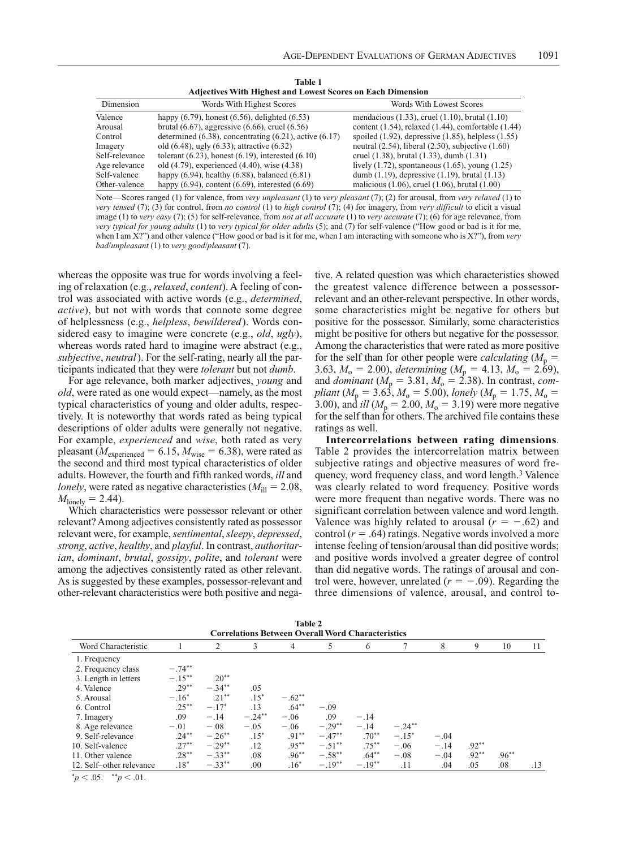**Table 1 Adjectives With Highest and Lowest Scores on Each Dimension**

| Dimension      | Words With Highest Scores                                      | Words With Lowest Scores                                   |
|----------------|----------------------------------------------------------------|------------------------------------------------------------|
| Valence        | happy $(6.79)$ , honest $(6.56)$ , delighted $(6.53)$          | mendacious $(1.33)$ , cruel $(1.10)$ , brutal $(1.10)$     |
| Arousal        | brutal $(6.67)$ , aggressive $(6.66)$ , cruel $(6.56)$         | content $(1.54)$ , relaxed $(1.44)$ , comfortable $(1.44)$ |
| Control        | determined $(6.38)$ , concentrating $(6.21)$ , active $(6.17)$ | spoiled $(1.92)$ , depressive $(1.85)$ , helpless $(1.55)$ |
| Imagery        | old $(6.48)$ , ugly $(6.33)$ , attractive $(6.32)$             | neutral $(2.54)$ , liberal $(2.50)$ , subjective $(1.60)$  |
| Self-relevance | tolerant $(6.23)$ , honest $(6.19)$ , interested $(6.10)$      | cruel $(1.38)$ , brutal $(1.33)$ , dumb $(1.31)$           |
| Age relevance  | old (4.79), experienced (4.40), wise (4.38)                    | lively $(1.72)$ , spontaneous $(1.65)$ , young $(1.25)$    |
| Self-valence   | happy $(6.94)$ , healthy $(6.88)$ , balanced $(6.81)$          | dumb $(1.19)$ , depressive $(1.19)$ , brutal $(1.13)$      |
| Other-valence  | happy $(6.94)$ , content $(6.69)$ , interested $(6.69)$        | malicious $(1.06)$ , cruel $(1.06)$ , brutal $(1.00)$      |

Note—Scores ranged (1) for valence, from *very unpleasant* (1) to *very pleasant* (7); (2) for arousal, from *very relaxed* (1) to *very tensed* (7); (3) for control, from *no control* (1) to *high control* (7); (4) for imagery, from *very difficult* to elicit a visual image (1) to *very easy* (7); (5) for self-relevance, from *not at all accurate* (1) to *very accurate* (7); (6) for age relevance, from *very typical for young adults* (1) to *very typical for older adults* (5); and (7) for self-valence ("How good or bad is it for me, when I am X?") and other valence ("How good or bad is it for me, when I am interacting with someone who is X?"), from *very bad*/*unpleasant* (1) to *very good*/*pleasant* (7).

whereas the opposite was true for words involving a feeling of relaxation (e.g., *relaxed*, *content*). A feeling of control was associated with active words (e.g., *determined*, *active*), but not with words that connote some degree of helplessness (e.g., *helpless*, *bewildered*). Words considered easy to imagine were concrete (e.g., *old*, *ugly*), whereas words rated hard to imagine were abstract (e.g., *subjective*, *neutral*). For the self-rating, nearly all the participants indicated that they were *tolerant* but not *dumb*.

For age relevance, both marker adjectives, *young* and *old*, were rated as one would expect—namely, as the most typical characteristics of young and older adults, respectively. It is noteworthy that words rated as being typical descriptions of older adults were generally not negative. For example, *experienced* and *wise*, both rated as very pleasant ( $M_{\text{experienced}} = 6.15$ ,  $M_{\text{wise}} = 6.38$ ), were rated as the second and third most typical characteristics of older adults. However, the fourth and fifth ranked words, *ill* and *lonely*, were rated as negative characteristics  $(M_{\text{ill}} = 2.08$ ,  $M_{\text{longly}} = 2.44$ .

Which characteristics were possessor relevant or other relevant? Among adjectives consistently rated as possessor relevant were, for example, *sentimental*, *sleepy*, *depressed*, *strong*, *active*, *healthy*, and *playful*. In contrast, *authoritarian*, *dominant*, *brutal*, *gossipy*, *polite*, and *tolerant* were among the adjectives consistently rated as other relevant. As is suggested by these examples, possessor-relevant and other-relevant characteristics were both positive and nega-

tive. A related question was which characteristics showed the greatest valence difference between a possessor relevant and an other-relevant perspective. In other words, some characteristics might be negative for others but positive for the possessor. Similarly, some characteristics might be positive for others but negative for the possessor. Among the characteristics that were rated as more positive for the self than for other people were *calculating*  $(M_p =$ 3.63,  $M_0 = 2.00$ ), *determining*  $(M_p = 4.13, M_o = 2.69)$ , and *dominant* ( $M_p = 3.81, M_o = 2.38$ ). In contrast, *compliant* ( $M_p = 3.63$ ,  $M_o = 5.00$ ), *lonely* ( $M_p = 1.75$ ,  $M_o =$ 3.00), and *ill* ( $M_p = 2.00, M_o = 3.19$ ) were more negative for the self than for others. The archived file contains these ratings as well.

**Intercorrelations between rating dimensions**. Table 2 provides the intercorrelation matrix between subjective ratings and objective measures of word frequency, word frequency class, and word length.3 Valence was clearly related to word frequency. Positive words were more frequent than negative words. There was no significant correlation between valence and word length. Valence was highly related to arousal  $(r = -.62)$  and control  $(r = .64)$  ratings. Negative words involved a more intense feeling of tension/arousal than did positive words; and positive words involved a greater degree of control than did negative words. The ratings of arousal and control were, however, unrelated  $(r = -.09)$ . Regarding the three dimensions of valence, arousal, and control to-

| <b>Table 2</b><br><b>Correlations Between Overall Word Characteristics</b> |           |           |           |          |                      |           |           |        |         |          |     |  |  |
|----------------------------------------------------------------------------|-----------|-----------|-----------|----------|----------------------|-----------|-----------|--------|---------|----------|-----|--|--|
|                                                                            |           |           |           |          |                      |           |           |        |         |          |     |  |  |
| 1. Frequency                                                               |           |           |           |          |                      |           |           |        |         |          |     |  |  |
| 2. Frequency class                                                         | $-.74**$  |           |           |          |                      |           |           |        |         |          |     |  |  |
| 3. Length in letters                                                       | $-.15***$ | $.20**$   |           |          |                      |           |           |        |         |          |     |  |  |
| 4. Valence                                                                 | $.29***$  | $-.34***$ | .05       |          |                      |           |           |        |         |          |     |  |  |
| 5. Arousal                                                                 | $-.16^*$  | $.21***$  | $.15*$    | $-.62**$ |                      |           |           |        |         |          |     |  |  |
| 6. Control                                                                 | $.25***$  | $-.17*$   | .13       | $.64***$ | $-.09$               |           |           |        |         |          |     |  |  |
| 7. Imagery                                                                 | .09       | $-.14$    | $-.24***$ | $-.06$   | .09                  | $-.14$    |           |        |         |          |     |  |  |
| 8. Age relevance                                                           | $-.01$    | $-.08$    | $-.05$    | $-.06$   | $-.29**$             | $-.14$    | $-.24***$ |        |         |          |     |  |  |
| 9. Self-relevance                                                          | $.24***$  | $-.26***$ | $.15*$    | $.91***$ | $-.47**$             | $.70**$   | $-.15*$   | $-.04$ |         |          |     |  |  |
| 10. Self-valence                                                           | $.27***$  | $-.29**$  | .12       | $.95***$ | $-.51$ **            | $.75***$  | $-.06$    | $-.14$ | $.92**$ |          |     |  |  |
| 11. Other valence                                                          | $.28***$  | $-.33**$  | .08       | $.96***$ | $-.58$ <sup>**</sup> | $.64***$  | $-.08$    | $-.04$ | $.92**$ | $.96***$ |     |  |  |
| 12. Self-other relevance                                                   | $.18*$    | $-.33***$ | .00       | $.16*$   | $-.19***$            | $-.19***$ | .11       | .04    | .05     | .08      | .13 |  |  |

 $*_{p}$  < .05.  $*_{p}$  < .01.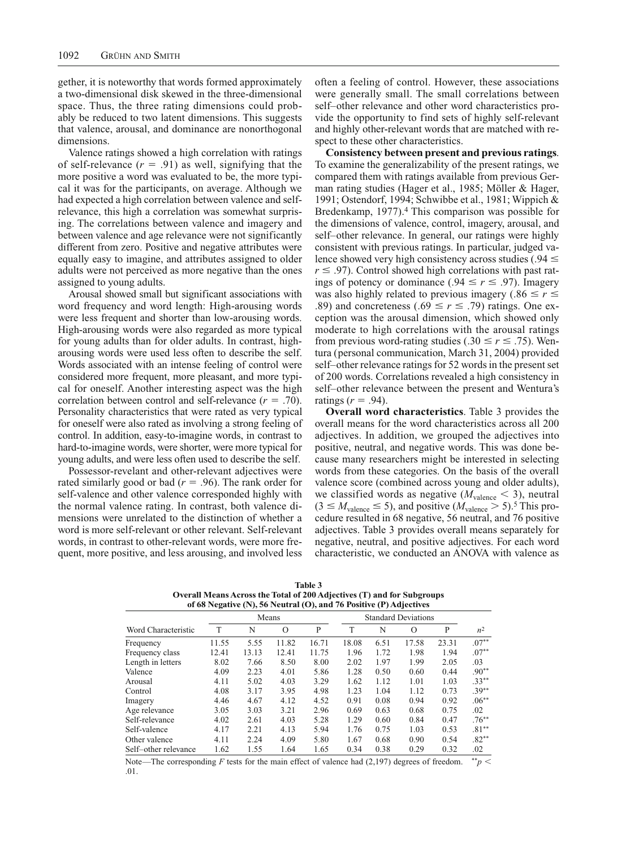gether, it is noteworthy that words formed approximately a two-dimensional disk skewed in the three-dimensional space. Thus, the three rating dimensions could probably be reduced to two latent dimensions. This suggests that valence, arousal, and dominance are nonorthogonal dimensions.

Valence ratings showed a high correlation with ratings of self-relevance  $(r = .91)$  as well, signifying that the more positive a word was evaluated to be, the more typical it was for the participants, on average. Although we had expected a high correlation between valence and selfrelevance, this high a correlation was somewhat surprising. The correlations between valence and imagery and between valence and age relevance were not significantly different from zero. Positive and negative attributes were equally easy to imagine, and attributes assigned to older adults were not perceived as more negative than the ones assigned to young adults.

Arousal showed small but significant associations with word frequency and word length: High-arousing words were less frequent and shorter than low-arousing words. High-arousing words were also regarded as more typical for young adults than for older adults. In contrast, higharousing words were used less often to describe the self. Words associated with an intense feeling of control were considered more frequent, more pleasant, and more typical for oneself. Another interesting aspect was the high correlation between control and self-relevance  $(r = .70)$ . Personality characteristics that were rated as very typical for oneself were also rated as involving a strong feeling of control. In addition, easy-to-imagine words, in contrast to hard-to-imagine words, were shorter, were more typical for young adults, and were less often used to describe the self.

Possessor-revelant and other-relevant adjectives were rated similarly good or bad ( $r = .96$ ). The rank order for self-valence and other valence corresponded highly with the normal valence rating. In contrast, both valence dimensions were unrelated to the distinction of whether a word is more self-relevant or other relevant. Self-relevant words, in contrast to other-relevant words, were more frequent, more positive, and less arousing, and involved less

often a feeling of control. However, these associations were generally small. The small correlations between self–other relevance and other word characteristics provide the opportunity to find sets of highly self-relevant and highly other-relevant words that are matched with respect to these other characteristics.

**Consistency between present and previous ratings**. To examine the generalizability of the present ratings, we compared them with ratings available from previous German rating studies (Hager et al., 1985; Möller & Hager, 1991; Ostendorf, 1994; Schwibbe et al., 1981; Wippich & Bredenkamp, 1977).4 This comparison was possible for the dimensions of valence, control, imagery, arousal, and self–other relevance. In general, our ratings were highly consistent with previous ratings. In particular, judged valence showed very high consistency across studies (.94  $\leq$  $r \leq .97$ ). Control showed high correlations with past ratings of potency or dominance (.94  $\leq r \leq$  .97). Imagery was also highly related to previous imagery (.86  $\leq r \leq$ .89) and concreteness (.69  $\leq r \leq$  .79) ratings. One exception was the arousal dimension, which showed only moderate to high correlations with the arousal ratings from previous word-rating studies (.30  $\le r \le$  .75). Wentura (personal communication, March 31, 2004) provided self–other relevance ratings for 52 words in the present set of 200 words. Correlations revealed a high consistency in self–other relevance between the present and Wentura's ratings  $(r = .94)$ .

**Overall word characteristics**. Table 3 provides the overall means for the word characteristics across all 200 adjectives. In addition, we grouped the adjectives into positive, neutral, and negative words. This was done because many researchers might be interested in selecting words from these categories. On the basis of the overall valence score (combined across young and older adults), we classified words as negative  $(M_{\text{valence}} < 3)$ , neutral  $(3 \leq M_{\text{valence}} \leq 5)$ , and positive  $(M_{\text{valence}} > 5)$ .<sup>5</sup> This procedure resulted in 68 negative, 56 neutral, and 76 positive adjectives. Table 3 provides overall means separately for negative, neutral, and positive adjectives. For each word characteristic, we conducted an ANOVA with valence as

**Table 3 Overall Means Across the Total of 200 Adjectives (T) and for Subgroups of 68 Negative (N), 56 Neutral (O), and 76 Positive (P) Adjectives**

|                      |       | $\cdots$<br>Means |       | $1 - 77$ | <b>Standard Deviations</b> |      |          |       |          |
|----------------------|-------|-------------------|-------|----------|----------------------------|------|----------|-------|----------|
| Word Characteristic  | T     | N                 | O     | P        | T                          | N    | $\Omega$ | P     | $n^2$    |
| Frequency            | 11.55 | 5.55              | 11.82 | 16.71    | 18.08                      | 6.51 | 17.58    | 23.31 | $.07***$ |
| Frequency class      | 12.41 | 13.13             | 12.41 | 11.75    | 1.96                       | 1.72 | 1.98     | 1.94  | $.07***$ |
| Length in letters    | 8.02  | 7.66              | 8.50  | 8.00     | 2.02                       | 1.97 | 1.99     | 2.05  | .03      |
| Valence              | 4.09  | 2.23              | 4.01  | 5.86     | 1.28                       | 0.50 | 0.60     | 0.44  | $.90**$  |
| Arousal              | 4.11  | 5.02              | 4.03  | 3.29     | 1.62                       | 1.12 | 1.01     | 1.03  | $.33***$ |
| Control              | 4.08  | 3.17              | 3.95  | 4.98     | 1.23                       | 1.04 | 1.12     | 0.73  | $.39**$  |
| Imagery              | 4.46  | 4.67              | 4.12  | 4.52     | 0.91                       | 0.08 | 0.94     | 0.92  | $.06***$ |
| Age relevance        | 3.05  | 3.03              | 3.21  | 2.96     | 0.69                       | 0.63 | 0.68     | 0.75  | .02      |
| Self-relevance       | 4.02  | 2.61              | 4.03  | 5.28     | 1.29                       | 0.60 | 0.84     | 0.47  | $.76***$ |
| Self-valence         | 4.17  | 2.21              | 4.13  | 5.94     | 1.76                       | 0.75 | 1.03     | 0.53  | $.81***$ |
| Other valence        | 4.11  | 2.24              | 4.09  | 5.80     | 1.67                       | 0.68 | 0.90     | 0.54  | $.82***$ |
| Self-other relevance | 1.62  | 1.55              | 1.64  | 1.65     | 0.34                       | 0.38 | 0.29     | 0.32  | .02      |

Note—The corresponding *F* tests for the main effect of valence had (2,197) degrees of freedom. .01.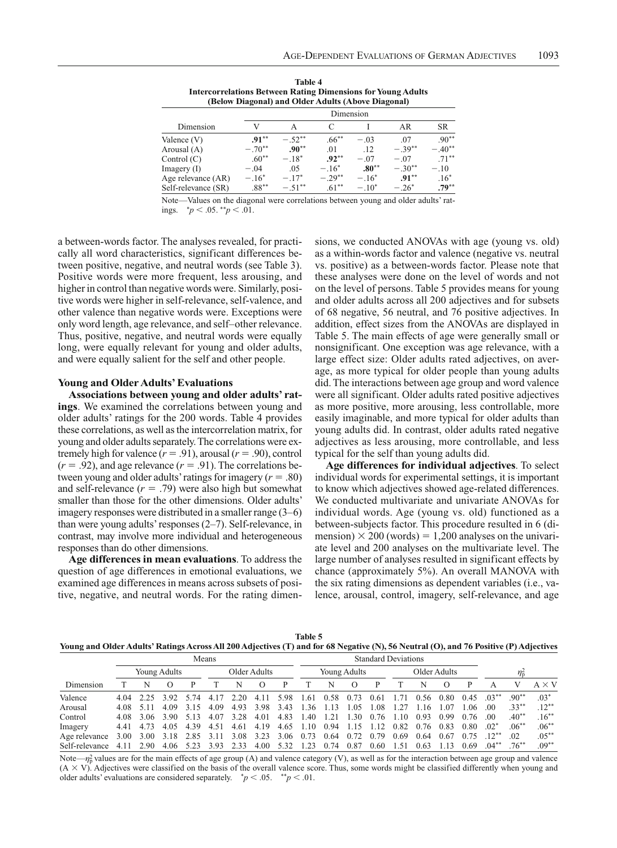| <b>Intercorrelations Between Rating Dimensions for Young Adults</b><br>(Below Diagonal) and Older Adults (Above Diagonal) |           |          |          |         |          |          |  |  |  |  |  |  |  |
|---------------------------------------------------------------------------------------------------------------------------|-----------|----------|----------|---------|----------|----------|--|--|--|--|--|--|--|
|                                                                                                                           | Dimension |          |          |         |          |          |  |  |  |  |  |  |  |
| Dimension                                                                                                                 | V         | А        |          |         | AR       | SR.      |  |  |  |  |  |  |  |
| Valence $(V)$                                                                                                             | $.91**$   | $-52**$  | $.66***$ | $-.03$  | .07      | $.90**$  |  |  |  |  |  |  |  |
| Arousal (A)                                                                                                               | $-.70**$  | $.90**$  | .01      | .12     | $-.39**$ | $-.40**$ |  |  |  |  |  |  |  |
| Control $(C)$                                                                                                             | $.60**$   | $-.18*$  | $.92**$  | $-07$   | $-.07$   | $.71***$ |  |  |  |  |  |  |  |
| Imagery (I)                                                                                                               | $-.04$    | .05      | $-.16*$  | $.80**$ | $-.30**$ | $-.10$   |  |  |  |  |  |  |  |
| Age relevance (AR)                                                                                                        | $-.16*$   | $-.17*$  | $-29**$  | $-.16*$ | $.91**$  | $.16*$   |  |  |  |  |  |  |  |
| Self-relevance (SR)                                                                                                       | $.88***$  | $-.51**$ | $.61**$  | $-.10*$ | $-.26*$  | $.79**$  |  |  |  |  |  |  |  |

| <b>Table 4</b>                                                      |
|---------------------------------------------------------------------|
| <b>Intercorrelations Between Rating Dimensions for Young Adults</b> |
| (Below Diagonal) and Older Adults (Above Diagonal)                  |

Note—Values on the diagonal were correlations between young and older adults' ratings.  $\frac{*}{p}$  < .05.  $\frac{*}{p}$  < .01.

a between-words factor. The analyses revealed, for practically all word characteristics, significant differences between positive, negative, and neutral words (see Table 3). Positive words were more frequent, less arousing, and higher in control than negative words were. Similarly, positive words were higher in self-relevance, self-valence, and other valence than negative words were. Exceptions were only word length, age relevance, and self–other relevance. Thus, positive, negative, and neutral words were equally long, were equally relevant for young and older adults, and were equally salient for the self and other people.

# **Young and Older Adults' Evaluations**

**Associations between young and older adults' ratings**. We examined the correlations between young and older adults' ratings for the 200 words. Table 4 provides these correlations, as well as the intercorrelation matrix, for young and older adults separately. The correlations were extremely high for valence  $(r = .91)$ , arousal  $(r = .90)$ , control  $(r = .92)$ , and age relevance  $(r = .91)$ . The correlations between young and older adults' ratings for imagery  $(r = .80)$ and self-relevance  $(r = .79)$  were also high but somewhat smaller than those for the other dimensions. Older adults' imagery responses were distributed in a smaller range (3–6) than were young adults' responses (2–7). Self-relevance, in contrast, may involve more individual and heterogeneous responses than do other dimensions.

**Age differences in mean evaluations**. To address the question of age differences in emotional evaluations, we examined age differences in means across subsets of positive, negative, and neutral words. For the rating dimensions, we conducted ANOVAs with age (young vs. old) as a within-words factor and valence (negative vs. neutral vs. positive) as a between-words factor. Please note that these analyses were done on the level of words and not on the level of persons. Table 5 provides means for young and older adults across all 200 adjectives and for subsets of 68 negative, 56 neutral, and 76 positive adjectives. In addition, effect sizes from the ANOVAs are displayed in Table 5. The main effects of age were generally small or nonsignificant. One exception was age relevance, with a large effect size: Older adults rated adjectives, on average, as more typical for older people than young adults did. The interactions between age group and word valence were all significant. Older adults rated positive adjectives as more positive, more arousing, less controllable, more easily imaginable, and more typical for older adults than young adults did. In contrast, older adults rated negative adjectives as less arousing, more controllable, and less typical for the self than young adults did.

**Age differences for individual adjectives**. To select individual words for experimental settings, it is important to know which adjectives showed age-related differences. We conducted multivariate and univariate ANOVAs for individual words. Age (young vs. old) functioned as a between-subjects factor. This procedure resulted in 6 (dimension)  $\times$  200 (words) = 1,200 analyses on the univariate level and 200 analyses on the multivariate level. The large number of analyses resulted in significant effects by chance (approximately 5%). An overall MANOVA with the six rating dimensions as dependent variables (i.e., valence, arousal, control, imagery, self-relevance, and age

**Table 5 Young and Older Adults' Ratings Across All 200 Adjectives (T) and for 68 Negative (N), 56 Neutral (O), and 76 Positive (P) Adjectives**

|                |              | Means     |           |       |      |              |      |      | <b>Standard Deviations</b> |       |          |      |              |      |      |      |                                                                   |          |              |
|----------------|--------------|-----------|-----------|-------|------|--------------|------|------|----------------------------|-------|----------|------|--------------|------|------|------|-------------------------------------------------------------------|----------|--------------|
|                | Young Adults |           |           |       |      | Older Adults |      |      | Young Adults               |       |          |      | Older Adults |      |      |      | $\eta_{\scriptscriptstyle \mathrm{D}}^{\scriptscriptstyle\angle}$ |          |              |
| Dimension      |              |           |           |       |      |              |      |      |                            |       | $\Omega$ |      |              | N    |      |      |                                                                   |          | $A \times V$ |
| Valence        | 4.04         |           | 2.25 3.92 | 5.74  | 4.17 | 2.20         | 4.11 | 5.98 | 1.61                       | 0.58  | 0.73     | 0.61 | 1 7 1        | 0.56 | 0.80 | 0.45 | $03***$                                                           | $.90**$  | $.03*$       |
| Arousal        | 4.08         |           | 4.09      | 315   | 4.09 | 4.93         | 3.98 | 3.43 | .36                        | 1 1 3 | 1.05     | 1.08 | 1 2.7        | 116  | 1.07 | 1.06 | 0 <sup>0</sup>                                                    | $.33***$ | $12***$      |
| Control        | 4.08         | 3.06      | 3.90      | 5 1 3 | 4.07 | 3.28         | 4.01 | 4.83 | -40                        | 121   | 1.30     | 0.76 | 1 1 0        | 0.93 | 0.99 | 0.76 | - 00                                                              | $.40**$  | $.16***$     |
| Imagery        |              | 4.41 4.73 | 4.05      | 4.39  | 4.51 | 4.61         | 4.19 | 4.65 | $\pm 10$                   | 0.94  | 115      | 1.12 | 0.82         | 0.76 | 0.83 | 0.80 | $02^*$                                                            | $.06***$ | $.06***$     |
| Age relevance  | 3.00         | 3.00      | 3.18      | 2.85  | 3.11 | 3.08         | 3.23 |      | 3.06 0.73                  | 0.64  | 0.72     | 0.79 | 0.69         | 0.64 | 0.67 | 0.75 | $12^{**}$                                                         | .02      | $.05***$     |
| Self-relevance | 4.11         | 2.90      | 4.06      | 5.23  | 3.93 | 2.33         | 4.00 | 5.32 | 1.23                       | 0.74  | 0.87     | 0.60 | 1.51         | 0.63 | 113  | 0.69 | $.04***$                                                          | $.76***$ | $.09***$     |

Note— $\eta_p^2$  values are for the main effects of age group (A) and valence category (V), as well as for the interaction between age group and valence  $(A \times V)$ . Adjectives were classified on the basis of the overall valence score. Thus, some words might be classified differently when young and older adults' evaluations are considered separately.  $\frac{*p}{<}$  .05.  $\frac{*p}{<}$  .01.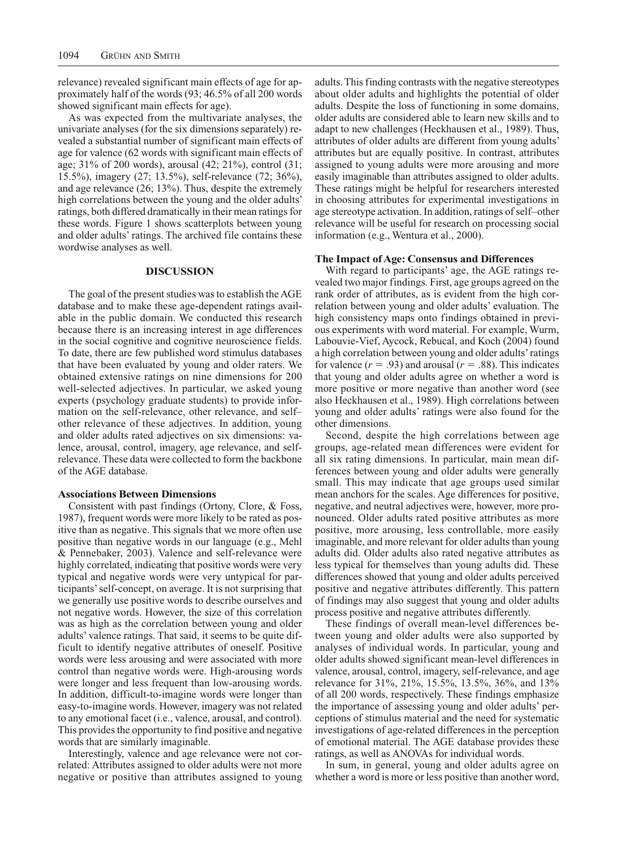relevance) revealed significant main effects of age for approximately half of the words (93; 46.5% of all 200 words showed significant main effects for age).

As was expected from the multivariate analyses, the univariate analyses (for the six dimensions separately) revealed a substantial number of significant main effects of age for valence (62 words with significant main effects of age; 31% of 200 words), arousal (42; 21%), control (31; 15.5%), imagery (27; 13.5%), self-relevance (72; 36%), and age relevance (26; 13%). Thus, despite the extremely high correlations between the young and the older adults' ratings, both differed dramatically in their mean ratings for these words. Figure 1 shows scatterplots between young and older adults' ratings. The archived file contains these wordwise analyses as well.

# **DISCUSSION**

The goal of the present studies was to establish the AGE database and to make these age-dependent ratings available in the public domain. We conducted this research because there is an increasing interest in age differences in the social cognitive and cognitive neuroscience fields. To date, there are few published word stimulus databases that have been evaluated by young and older raters. We obtained extensive ratings on nine dimensions for 200 well-selected adjectives. In particular, we asked young experts (psychology graduate students) to provide information on the self-relevance, other relevance, and self– other relevance of these adjectives. In addition, young and older adults rated adjectives on six dimensions: valence, arousal, control, imagery, age relevance, and self relevance. These data were collected to form the backbone of the AGE database.

# **Associations Between Dimensions**

Consistent with past findings (Ortony, Clore, & Foss, 1987), frequent words were more likely to be rated as positive than as negative. This signals that we more often use positive than negative words in our language (e.g., Mehl & Pennebaker, 2003). Valence and self-relevance were highly correlated, indicating that positive words were very typical and negative words were very untypical for participants' self-concept, on average. It is not surprising that we generally use positive words to describe ourselves and not negative words. However, the size of this correlation was as high as the correlation between young and older adults' valence ratings. That said, it seems to be quite difficult to identify negative attributes of oneself. Positive words were less arousing and were associated with more control than negative words were. High-arousing words were longer and less frequent than low-arousing words. In addition, difficult-to-imagine words were longer than easy-to-imagine words. However, imagery was not related to any emotional facet (i.e., valence, arousal, and control). This provides the opportunity to find positive and negative words that are similarly imaginable.

Interestingly, valence and age relevance were not correlated: Attributes assigned to older adults were not more negative or positive than attributes assigned to young adults. This finding contrasts with the negative stereotypes about older adults and highlights the potential of older adults. Despite the loss of functioning in some domains, older adults are considered able to learn new skills and to adapt to new challenges (Heckhausen et al., 1989). Thus, attributes of older adults are different from young adults' attributes but are equally positive. In contrast, attributes assigned to young adults were more arousing and more easily imaginable than attributes assigned to older adults. These ratings might be helpful for researchers interested in choosing attributes for experimental investigations in age stereotype activation. In addition, ratings of self–other relevance will be useful for research on processing social information (e.g., Wentura et al., 2000).

# **The Impact of Age: Consensus and Differences**

With regard to participants' age, the AGE ratings revealed two major findings. First, age groups agreed on the rank order of attributes, as is evident from the high correlation between young and older adults' evaluation. The high consistency maps onto findings obtained in previous experiments with word material. For example, Wurm, Labouvie-Vief, Aycock, Rebucal, and Koch (2004) found a high correlation between young and older adults' ratings for valence  $(r = .93)$  and arousal  $(r = .88)$ . This indicates that young and older adults agree on whether a word is more positive or more negative than another word (see also Heckhausen et al., 1989). High correlations between young and older adults' ratings were also found for the other dimensions.

Second, despite the high correlations between age groups, age-related mean differences were evident for all six rating dimensions. In particular, main mean differences between young and older adults were generally small. This may indicate that age groups used similar mean anchors for the scales. Age differences for positive, negative, and neutral adjectives were, however, more pronounced. Older adults rated positive attributes as more positive, more arousing, less controllable, more easily imaginable, and more relevant for older adults than young adults did. Older adults also rated negative attributes as less typical for themselves than young adults did. These differences showed that young and older adults perceived positive and negative attributes differently. This pattern of findings may also suggest that young and older adults process positive and negative attributes differently.

These findings of overall mean-level differences between young and older adults were also supported by analyses of individual words. In particular, young and older adults showed significant mean-level differences in valence, arousal, control, imagery, self-relevance, and age relevance for 31%, 21%, 15.5%, 13.5%, 36%, and 13% of all 200 words, respectively. These findings emphasize the importance of assessing young and older adults' perceptions of stimulus material and the need for systematic investigations of age-related differences in the perception of emotional material. The AGE database provides these ratings, as well as ANOVAs for individual words.

In sum, in general, young and older adults agree on whether a word is more or less positive than another word,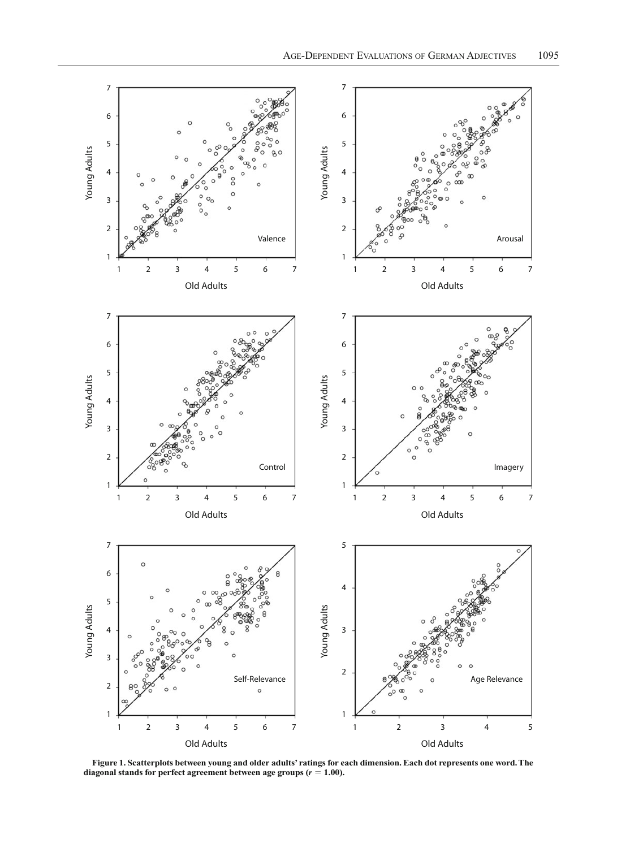

**Figure 1. Scatterplots between young and older adults' ratings for each dimension. Each dot represents one word. The**  diagonal stands for perfect agreement between age groups  $(r = 1.00)$ .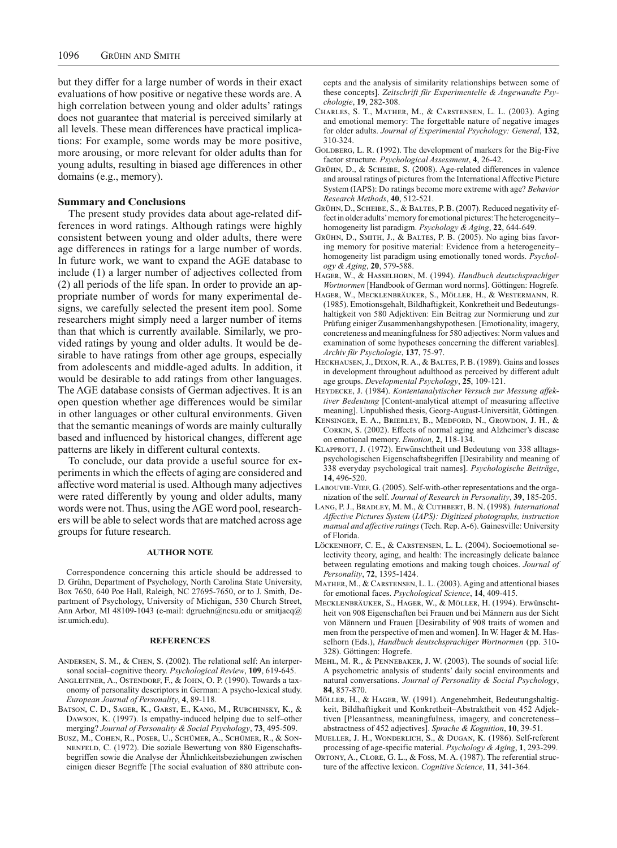but they differ for a large number of words in their exact evaluations of how positive or negative these words are. A high correlation between young and older adults' ratings does not guarantee that material is perceived similarly at all levels. These mean differences have practical implications: For example, some words may be more positive, more arousing, or more relevant for older adults than for young adults, resulting in biased age differences in other domains (e.g., memory).

# **Summary and Conclusions**

The present study provides data about age-related differences in word ratings. Although ratings were highly consistent between young and older adults, there were age differences in ratings for a large number of words. In future work, we want to expand the AGE database to include (1) a larger number of adjectives collected from (2) all periods of the life span. In order to provide an appropriate number of words for many experimental designs, we carefully selected the present item pool. Some researchers might simply need a larger number of items than that which is currently available. Similarly, we provided ratings by young and older adults. It would be desirable to have ratings from other age groups, especially from adolescents and middle-aged adults. In addition, it would be desirable to add ratings from other languages. The AGE database consists of German adjectives. It is an open question whether age differences would be similar in other languages or other cultural environments. Given that the semantic meanings of words are mainly culturally based and influenced by historical changes, different age patterns are likely in different cultural contexts.

To conclude, our data provide a useful source for experiments in which the effects of aging are considered and affective word material is used. Although many adjectives were rated differently by young and older adults, many words were not. Thus, using the AGE word pool, researchers will be able to select words that are matched across age groups for future research.

## **AUTHOR NOTE**

Correspondence concerning this article should be addressed to D. Grühn, Department of Psychology, North Carolina State University, Box 7650, 640 Poe Hall, Raleigh, NC 27695-7650, or to J. Smith, Department of Psychology, University of Michigan, 530 Church Street, Ann Arbor, MI 48109-1043 (e-mail: dgruehn@ncsu.edu or smitjacq@ isr.umich.edu).

## **REFERENCES**

- Andersen, S. M., & Chen, S. (2002). The relational self: An interpersonal social–cognitive theory. *Psychological Review*, **109**, 619-645.
- ANGLEITNER, A., OSTENDORF, F., & JOHN, O. P. (1990). Towards a taxonomy of personality descriptors in German: A psycho-lexical study. *European Journal of Personality*, **4**, 89-118.
- Batson, C. D., Sager, K., Garst, E., Kang, M., Rubchinsky, K., & Dawson, K. (1997). Is empathy-induced helping due to self–other merging? *Journal of Personality & Social Psychology*, **73**, 495-509.
- Busz, M., Cohen, R., Poser, U., Schümer, A., Schümer, R., & Sonnenfeld, C. (1972). Die soziale Bewertung von 880 Eigenschaftsbegriffen sowie die Analyse der Ähnlichkeitsbeziehungen zwischen einigen dieser Begriffe [The social evaluation of 880 attribute con-

cepts and the analysis of similarity relationships between some of these concepts]. *Zeitschrift für Experimentelle & Angewandte Psychologie*, **19**, 282-308.

- Charles, S. T., Mather, M., & Carstensen, L. L. (2003). Aging and emotional memory: The forgettable nature of negative images for older adults. *Journal of Experimental Psychology: General*, **132**, 310-324.
- GOLDBERG, L. R. (1992). The development of markers for the Big-Five factor structure. *Psychological Assessment*, **4**, 26-42.
- Grühn, D., & Scheibe, S. (2008). Age-related differences in valence and arousal ratings of pictures from the International Affective Picture System (IAPS): Do ratings become more extreme with age? *Behavior Research Methods*, **40**, 512-521.
- Grühn, D., Scheibe, S., & Baltes, P. B. (2007). Reduced negativity effect in older adults' memory for emotional pictures: The heterogeneity– homogeneity list paradigm. *Psychology & Aging*, **22**, 644-649.
- GRÜHN, D., SMITH, J., & BALTES, P. B. (2005). No aging bias favoring memory for positive material: Evidence from a heterogeneity– homogeneity list paradigm using emotionally toned words. *Psychology & Aging*, **20**, 579-588.
- Hager, W., & Hasselhorn, M. (1994). *Handbuch deutschsprachiger Wortnormen* [Handbook of German word norms]. Göttingen: Hogrefe.
- Hager, W., Mecklenbräuker, S., Möller, H., & Westermann, R. (1985). Emotionsgehalt, Bildhaftigkeit, Konkretheit und Bedeutungshaltigkeit von 580 Adjektiven: Ein Beitrag zur Normierung und zur Prüfung einiger Zusammenhangshypothesen. [Emotionality, imagery, concreteness and meaningfulness for 580 adjectives: Norm values and examination of some hypotheses concerning the different variables]. *Archiv für Psychologie*, **137**, 75-97.
- Heckhausen, J., Dixon, R. A., & Baltes, P. B. (1989). Gains and losses in development throughout adulthood as perceived by different adult age groups. *Developmental Psychology*, **25**, 109-121.
- HEYDECKE, J. (1984). *Kontentanalytischer Versuch zur Messung affektiver Bedeutung* [Content-analytical attempt of measuring affective meaning]. Unpublished thesis, Georg-August-Universität, Göttingen.
- Kensinger, E. A., Brierley, B., Medford, N., Growdon, J. H., & Corkin, S. (2002). Effects of normal aging and Alzheimer's disease on emotional memory. *Emotion*, **2**, 118-134.
- KLAPPROTT, J. (1972). Erwünschtheit und Bedeutung von 338 alltagspsychologischen Eigenschaftsbegriffen [Desirability and meaning of 338 everyday psychological trait names]. *Psychologische Beiträge*, **14**, 496-520.
- LABOUVIE-VIEF, G. (2005). Self-with-other representations and the organization of the self. *Journal of Research in Personality*, **39**, 185-205.
- Lang, P. J., Bradley, M. M., & Cuthbert, B. N. (1998). *International Affective Pictures System* (*IAPS): Digitized photographs, instruction manual and affective ratings* (Tech. Rep. A-6). Gainesville: University of Florida.
- Löckenhoff, C. E., & Carstensen, L. L. (2004). Socioemotional selectivity theory, aging, and health: The increasingly delicate balance between regulating emotions and making tough choices. *Journal of Personality*, **72**, 1395-1424.
- Mather, M., & Carstensen, L. L. (2003). Aging and attentional biases for emotional faces. *Psychological Science*, **14**, 409-415.
- Mecklenbräuker, S., Hager, W., & Möller, H. (1994). Erwünschtheit von 908 Eigenschaften bei Frauen und bei Männern aus der Sicht von Männern und Frauen [Desirability of 908 traits of women and men from the perspective of men and women]. In W. Hager & M. Hasselhorn (Eds.), *Handbuch deutschsprachiger Wortnormen* (pp. 310- 328). Göttingen: Hogrefe.
- Mehl, M. R., & Pennebaker, J. W. (2003). The sounds of social life: A psychometric analysis of students' daily social environments and natural conversations. *Journal of Personality & Social Psychology*, **84**, 857-870.
- Möller, H., & Hager, W. (1991). Angenehmheit, Bedeutungshaltigkeit, Bildhaftigkeit und Konkretheit–Abstraktheit von 452 Adjektiven [Pleasantness, meaningfulness, imagery, and concreteness– abstractness of 452 adjectives]. *Sprache & Kognition*, **10**, 39-51.
- Mueller, J. H., Wonderlich, S., & Dugan, K. (1986). Self-referent processing of age-specific material. *Psychology & Aging*, **1**, 293-299.
- Ortony, A., Clore, G. L., & Foss, M. A. (1987). The referential structure of the affective lexicon. *Cognitive Science*, **11**, 341-364.